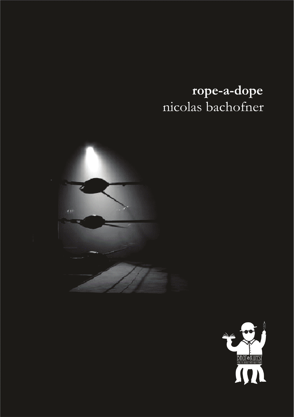# rope-a-dope nicolas bachofner



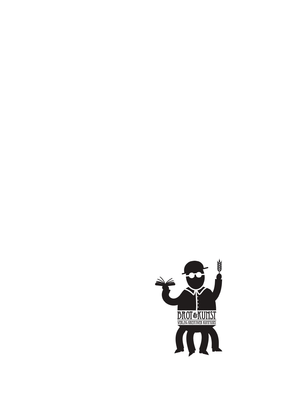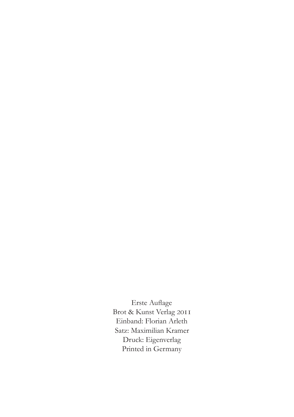Erste Auflage Brot & Kunst Verlag 2011 Einband: Florian Arleth Satz: Maximilian Kramer Druck: Eigenverlag Printed in Germany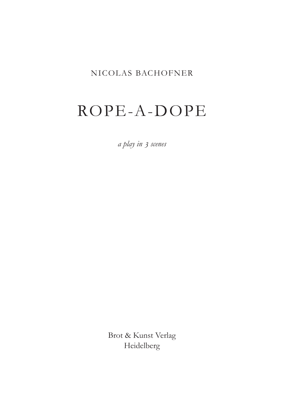### NICOLAS BACHOFNER

# ROPE-A-DOPE

*a play in 3 scenes*

Brot & Kunst Verlag Heidelberg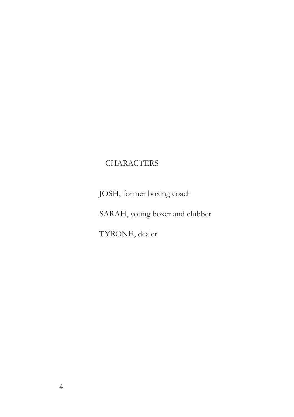## **CHARACTERS**

Josh, former boxing coach

SARAH, young boxer and clubber

TYRONE, dealer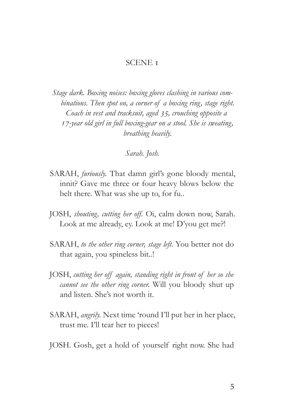#### SCENE 1

*Stage dark. Boxing noises: boxing gloves clashing in various combinations. Then spot on, a corner of a boxing ring, stage right. Coach in vest and tracksuit, aged 35, crouching opposite a 17-year old girl in full boxing-gear on a stool. She is sweating, breathing heavily.*

*Sarah. Josh.*

- SARAH, *furiously.* That damn girl's gone bloody mental, innit? Gave me three or four heavy blows below the belt there. What was she up to, for fu..
- JOSH, *shouting, cutting her off.* Oi, calm down now, Sarah. Look at me already, ey. Look at me! D'you get me?!
- SARAH, *to the other ring corner, stage left.* You better not do that again, you spineless bit..!
- JOSH, *cutting her off again, standing right in front of her so she cannot see the other ring corner.* Will you bloody shut up and listen. She's not worth it.
- SARAH, *angrily.* Next time 'round I'll put her in her place, trust me. I'll tear her to pieces!
- JOSH. Gosh, get a hold of yourself right now. She had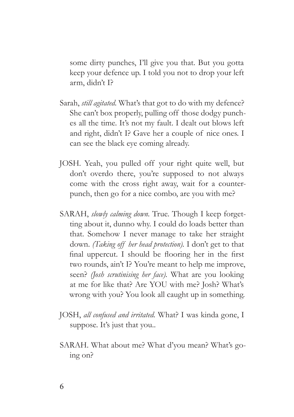some dirty punches, I'll give you that. But you gotta keep your defence up. I told you not to drop your left arm, didn't I?

- Sarah, *still agitated.* What's that got to do with my defence? She can't box properly, pulling off those dodgy punches all the time. It's not my fault. I dealt out blows left and right, didn't I? Gave her a couple of nice ones. I can see the black eye coming already.
- JOSH. Yeah, you pulled off your right quite well, but don't overdo there, you're supposed to not always come with the cross right away, wait for a counterpunch, then go for a nice combo, are you with me?
- SARAH, *slowly calming down*. True. Though I keep forgetting about it, dunno why. I could do loads better than that. Somehow I never manage to take her straight down. *(Taking off her head protection).* I don't get to that final uppercut. I should be flooring her in the first two rounds, ain't I? You're meant to help me improve, seen? *(Josh scrutinising her face).* What are you looking at me for like that? Are YOU with me? Josh? What's wrong with you? You look all caught up in something.
- JOSH, *all confused and irritated.* What? I was kinda gone, I suppose. It's just that you...
- SARAH. What about me? What d'you mean? What's going on?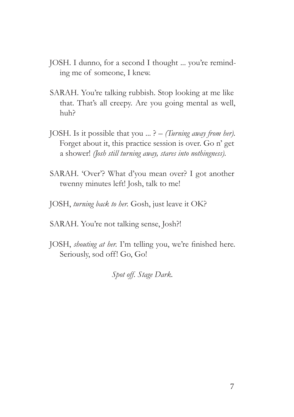- JOSH. I dunno, for a second I thought ... you're reminding me of someone, I knew.
- SARAH. You're talking rubbish. Stop looking at me like that. That's all creepy. Are you going mental as well, huh?
- JOSH. Is it possible that you ... ? *(Turning away from her).* Forget about it, this practice session is over. Go n' get a shower! *(Josh still turning away, stares into nothingness).*
- SARAH. 'Over'? What d'you mean over? I got another twenny minutes left! Josh, talk to me!
- JOSH, *turning back to her.* Gosh, just leave it OK?
- SARAH. You're not talking sense, Josh?!
- JOSH, *shouting at her.* I'm telling you, we're finished here. Seriously, sod off! Go, Go!

*Spot off. Stage Dark.*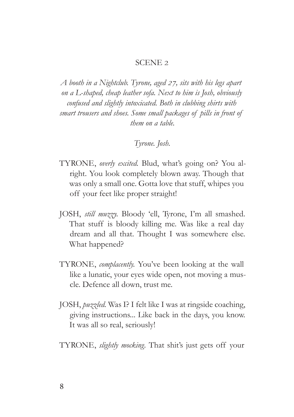#### SCENE 2

*A booth in a Nightclub. Tyrone, aged 27, sits with his legs apart on a L-shaped, cheap leather sofa. Next to him is Josh, obviously confused and slightly intoxicated. Both in clubbing shirts with smart trousers and shoes. Some small packages of pills in front of them on a table.*

### *Tyrone. Josh.*

- TYRONE, *overly excited.* Blud, what's going on? You alright. You look completely blown away. Though that was only a small one. Gotta love that stuff, whipes you off your feet like proper straight!
- JOSH, *still muzzy.* Bloody 'ell, Tyrone, I'm all smashed. That stuff is bloody killing me. Was like a real day dream and all that. Thought I was somewhere else. What happened?
- TYRONE, *complacently.* You've been looking at the wall like a lunatic, your eyes wide open, not moving a muscle. Defence all down, trust me.
- JOSH, *puzzled.* Was I? I felt like I was at ringside coaching, giving instructions... Like back in the days, you know. It was all so real, seriously!
- TYRONE, *slightly mocking.* That shit's just gets off your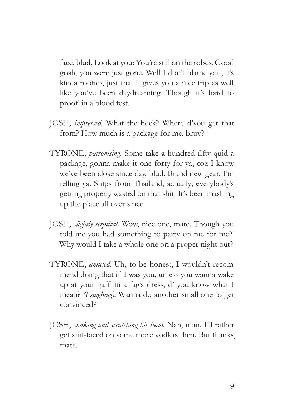face, blud. Look at you: You're still on the robes. Good gosh, you were just gone. Well I don't blame you, it's kinda roofies, just that it gives you a nice trip as well, like you've been daydreaming. Though it's hard to proof in a blood test.

- JOSH, *impressed.* What the heck? Where d'you get that from? How much is a package for me, bruv?
- TYRONE, *patronising.* Some take a hundred fifty quid a package, gonna make it one forty for ya, coz I know we've been close since day, blud. Brand new gear, I'm telling ya. Ships from Thailand, actually; everybody's getting properly wasted on that shit. It's been mashing up the place all over since.
- JOSH, *slightly sceptical.* Wow, nice one, mate. Though you told me you had something to party on me for me?! Why would I take a whole one on a proper night out?
- TYRONE, *amused.* Uh, to be honest, I wouldn't recommend doing that if I was you; unless you wanna wake up at your gaff in a fag's dress, d' you know what I mean? *(Laughing).* Wanna do another small one to get convinced?
- JOSH, *shaking and scratching his head.* Nah, man. I'll rather get shit-faced on some more vodkas then. But thanks, mate.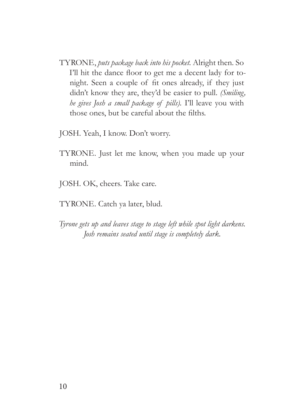- TYRONE, *puts package back into his pocket.* Alright then. So I'll hit the dance floor to get me a decent lady for tonight. Seen a couple of fit ones already, if they just didn't know they are, they'd be easier to pull. *(Smiling, he gives Josh a small package of pills).* I'll leave you with those ones, but be careful about the filths.
- JOSH. Yeah, I know. Don't worry.
- TYRONE. Just let me know, when you made up your mind.
- JOSH. OK, cheers. Take care.
- TYRONE. Catch ya later, blud.
- *Tyrone gets up and leaves stage to stage left while spot light darkens. Josh remains seated until stage is completely dark.*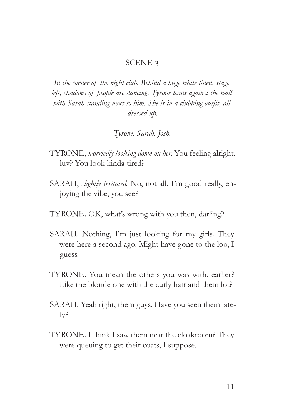#### SCENE 3

*In the corner of the night club. Behind a huge white linen, stage*  left, shadows of people are dancing. Tyrone leans against the wall *with Sarah standing next to him. She is in a clubbing outfit, all dressed up.*

*Tyrone. Sarah. Josh.*

- TYRONE, *worriedly looking down on her.* You feeling alright, luv? You look kinda tired?
- SARAH, *slightly irritated.* No, not all, I'm good really, enjoying the vibe, you see?
- TYRONE. OK, what's wrong with you then, darling?
- SARAH. Nothing, I'm just looking for my girls. They were here a second ago. Might have gone to the loo, I guess.
- TYRONE. You mean the others you was with, earlier? Like the blonde one with the curly hair and them lot?
- SARAH. Yeah right, them guys. Have you seen them lately?
- TYRONE. I think I saw them near the cloakroom? They were queuing to get their coats, I suppose.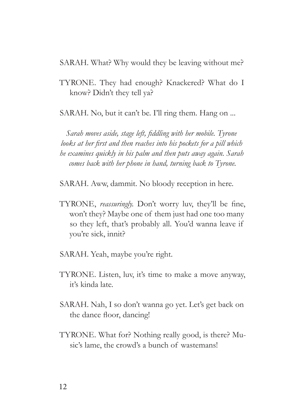SARAH. What? Why would they be leaving without me?

TYRONE. They had enough? Knackered? What do I know? Didn't they tell ya?

SARAH. No, but it can't be. I'll ring them. Hang on ...

*Sarah moves aside, stage left, fiddling with her mobile. Tyrone looks at her first and then reaches into his pockets for a pill which he examines quickly in his palm and then puts away again. Sarah comes back with her phone in hand, turning back to Tyrone.*

SARAH. Aww, dammit. No bloody reception in here.

- TYRONE, *reassuringly.* Don't worry luv, they'll be fine, won't they? Maybe one of them just had one too many so they left, that's probably all. You'd wanna leave if you're sick, innit?
- SARAH. Yeah, maybe you're right.
- TYRONE. Listen, luv, it's time to make a move anyway, it's kinda late.
- SARAH. Nah, I so don't wanna go yet. Let's get back on the dance floor, dancing!
- TYRONE. What for? Nothing really good, is there? Music's lame, the crowd's a bunch of wastemans!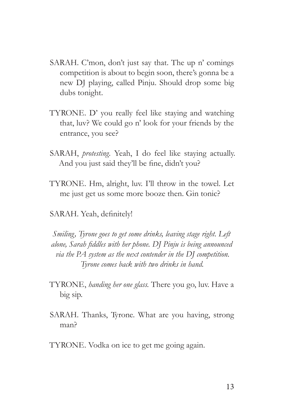- SARAH. C'mon, don't just say that. The up n' comings competition is about to begin soon, there's gonna be a new DJ playing, called Pinju. Should drop some big dubs tonight.
- TYRONE. D' you really feel like staying and watching that, luv? We could go n' look for your friends by the entrance, you see?
- SARAH, *protesting*. Yeah, I do feel like staying actually. And you just said they'll be fine, didn't you?
- TYRONE. Hm, alright, luv. I'll throw in the towel. Let me just get us some more booze then. Gin tonic?
- SARAH. Yeah, definitely!

*Smiling, Tyrone goes to get some drinks, leaving stage right. Left alone, Sarah fiddles with her phone. DJ Pinju is being announced via the PA system as the next contender in the DJ competition. Tyrone comes back with two drinks in hand.*

- TYRONE, *handing her one glass.* There you go, luv. Have a big sip.
- SARAH. Thanks, Tyrone. What are you having, strong man?
- TYRONE. Vodka on ice to get me going again.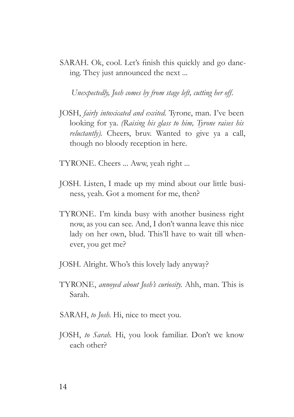SARAH. Ok, cool. Let's finish this quickly and go dancing. They just announced the next ...

*Unexpectedly, Josh comes by from stage left, cutting her off.*

- JOSH, *fairly intoxicated and excited.* Tyrone, man. I've been looking for ya. *(Raising his glass to him, Tyrone raises his reluctantly).* Cheers, bruv. Wanted to give ya a call, though no bloody reception in here.
- TYRONE. Cheers ... Aww, yeah right ...
- JOSH. Listen, I made up my mind about our little business, yeah. Got a moment for me, then?
- TYRONE. I'm kinda busy with another business right now, as you can see. And, I don't wanna leave this nice lady on her own, blud. This'll have to wait till whenever, you get me?
- JOSH. Alright. Who's this lovely lady anyway?
- TYRONE, *annoyed about Josh's curiosity.* Ahh, man. This is Sarah.
- SARAH, *to Josh.* Hi, nice to meet you.
- JOSH, *to Sarah.* Hi, you look familiar. Don't we know each other?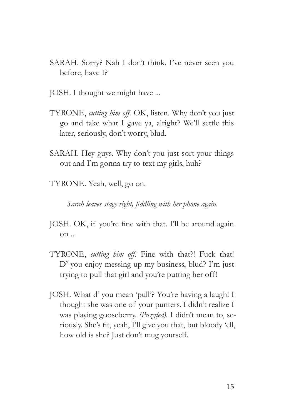- SARAH. Sorry? Nah I don't think. I've never seen you before, have I?
- JOSH. I thought we might have ...
- TYRONE, *cutting him off.* OK, listen. Why don't you just go and take what I gave ya, alright? We'll settle this later, seriously, don't worry, blud.
- SARAH. Hey guys. Why don't you just sort your things out and I'm gonna try to text my girls, huh?
- TYRONE. Yeah, well, go on.

*Sarah leaves stage right, fiddling with her phone again.*

- JOSH. OK, if you're fine with that. I'll be around again on ...
- TYRONE, *cutting him off.* Fine with that?! Fuck that! D' you enjoy messing up my business, blud? I'm just trying to pull that girl and you're putting her off!
- JOSH. What d' you mean 'pull'? You're having a laugh! I thought she was one of your punters. I didn't realize I was playing gooseberry. *(Puzzled).* I didn't mean to, seriously. She's fit, yeah, I'll give you that, but bloody 'ell, how old is she? Just don't mug yourself.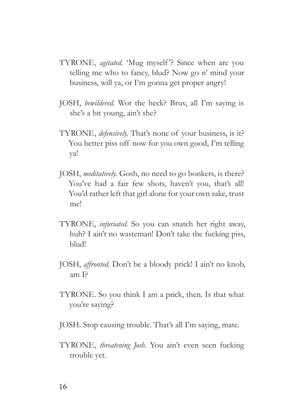- TYRONE, *agitated.* 'Mug myself '? Since when are you telling me who to fancy, blud? Now go n' mind your business, will ya, or I'm gonna get proper angry!
- JOSH, *bewildered.* Wot the heck? Bruv, all I'm saying is she's a bit young, ain't she?
- TYRONE, *defensively.* That's none of your business, is it? You better piss off now for you own good, I'm telling ya!
- JOSH, *meditatively.* Gosh, no need to go bonkers, is there? You've had a fair few shots, haven't you, that's all! You'd rather left that girl alone for your own sake, trust me!
- TYRONE, *infuriated.* So you can snatch her right away, huh? I ain't no wasteman! Don't take the fucking piss, blud!
- JOSH, *affronted.* Don't be a bloody prick! I ain't no knob, am I?
- TYRONE. So you think I am a prick, then. Is that what you're saying?
- JOSH. Stop causing trouble. That's all I'm saying, mate.
- TYRONE, *threatening Josh.* You ain't even seen fucking trouble yet.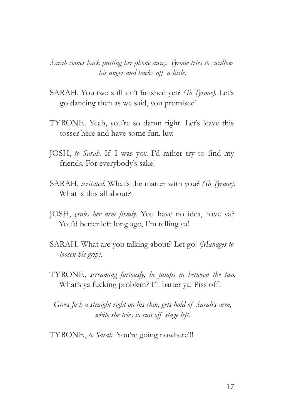*Sarah comes back putting her phone away. Tyrone tries to swallow his anger and backs off a little.*

- SARAH. You two still ain't finished yet? *(To Tyrone).* Let's go dancing then as we said, you promised!
- TYRONE. Yeah, you're so damn right. Let's leave this tosser here and have some fun, luv.
- JOSH, *to Sarah.* If I was you I'd rather try to find my friends. For everybody's sake!
- SARAH, *irritated.* What's the matter with you? *(To Tyrone).* What is this all about?
- JOSH, *grabs her arm firmly.* You have no idea, have ya? You'd better left long ago, I'm telling ya!
- SARAH. What are you talking about? Let go! *(Manages to loosen his grip).*
- TYRONE, *screaming furiously, he jumps in between the two.* What's ya fucking problem? I'll batter ya! Piss off!

*Gives Josh a straight right on his chin, gets hold of Sarah's arm, while she tries to run off stage left.*

TYRONE, *to Sarah.* You're going nowhere!!!